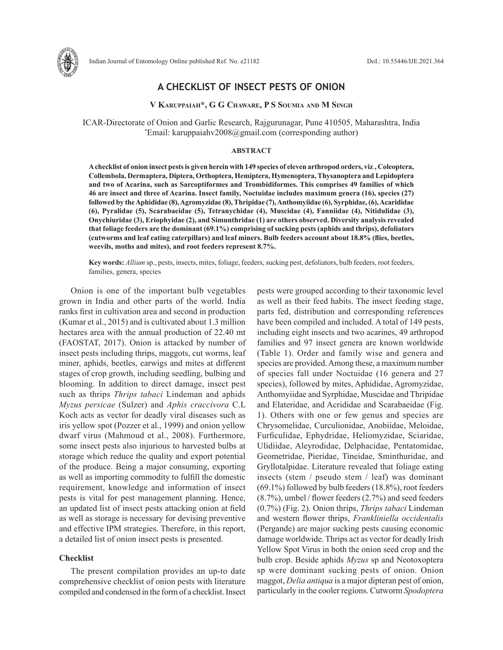

## **A CHECKLIST OF INSECT PESTS OF ONION**

### **V Karuppaiah\*, G G Chaware, P S Soumia and M Singh**

ICAR-Directorate of Onion and Garlic Research, Rajgurunagar, Pune 410505, Maharashtra, India \* Email: karuppaiahv2008@gmail.com (corresponding author)

#### **ABSTRACT**

**A checklist of onion insect pests is given herein with 149 species of eleven arthropod orders, viz***.***, Coleoptera, Collembola, Dermaptera, Diptera, Orthoptera, Hemiptera, Hymenoptera, Thysanoptera and Lepidoptera and two of Acarina, such as Sarcoptiformes and Trombidiformes. This comprises 49 families of which 46 are insect and three of Acarina. Insect family, Noctuidae includes maximum genera (16), species (27) followed by the Aphididae (8), Agromyzidae (8), Thripidae (7), Anthomyiidae (6), Syrphidae, (6), Acarididae (6), Pyralidae (5), Scarabaeidae (5), Tetranychidae (4), Muscidae (4), Fanniidae (4), Nitidulidae (3), Onychiuridae (3), Eriophyidae (2), and Simunthridae (1) are others observed. Diversity analysis revealed that foliage feeders are the dominant (69.1%) comprising of sucking pests (aphids and thrips), defoliators (cutworms and leaf eating caterpillars) and leaf miners. Bulb feeders account about 18.8% (flies, beetles, weevils, moths and mites), and root feeders represent 8.7%.** 

**Key words:** *Allium* sp., pests, insects, mites, foliage, feeders, sucking pest, defoliators, bulb feeders, root feeders, families, genera, species

Onion is one of the important bulb vegetables grown in India and other parts of the world. India ranks first in cultivation area and second in production (Kumar et al., 2015) and is cultivated about 1.3 million hectares area with the annual production of 22.40 mt (FAOSTAT, 2017). Onion is attacked by number of insect pests including thrips, maggots, cut worms, leaf miner, aphids, beetles, earwigs and mites at different stages of crop growth, including seedling, bulbing and blooming. In addition to direct damage, insect pest such as thrips *Thrips tabaci* Lindeman and aphids *Myzus persicae* (Sulzer) and *Aphis craccivora* C.L Koch acts as vector for deadly viral diseases such as iris yellow spot (Pozzer et al., 1999) and onion yellow dwarf virus (Mahmoud et al., 2008). Furthermore, some insect pests also injurious to harvested bulbs at storage which reduce the quality and export potential of the produce. Being a major consuming, exporting as well as importing commodity to fulfill the domestic requirement, knowledge and information of insect pests is vital for pest management planning. Hence, an updated list of insect pests attacking onion at field as well as storage is necessary for devising preventive and effective IPM strategies. Therefore, in this report, a detailed list of onion insect pests is presented.

#### **Checklist**

The present compilation provides an up-to date comprehensive checklist of onion pests with literature compiled and condensed in the form of a checklist. Insect pests were grouped according to their taxonomic level as well as their feed habits. The insect feeding stage, parts fed, distribution and corresponding references have been compiled and included. A total of 149 pests, including eight insects and two acarines, 49 arthropod families and 97 insect genera are known worldwide (Table 1). Order and family wise and genera and species are provided. Among these, a maximum number of species fall under Noctuidae (16 genera and 27 species), followed by mites, Aphididae, Agromyzidae, Anthomyiidae and Syrphidae, Muscidae and Thripidae and Elateridae, and Acrididae and Scarabaeidae (Fig. 1). Others with one or few genus and species are Chrysomelidae, Curculionidae, Anobiidae, Meloidae, Furficulidae, Ephydridae, Heliomyzidae, Sciaridae, Ulidiidae, Aleyrodidae, Delphacidae, Pentatomidae, Geometridae, Pieridae, Tineidae, Sminthuridae, and Gryllotalpidae. Literature revealed that foliage eating insects (stem / pseudo stem / leaf) was dominant (69.1%) followed by bulb feeders (18.8%), root feeders (8.7%), umbel / flower feeders (2.7%) and seed feeders (0.7%) (Fig. 2). Onion thrips, *Thrips tabaci* Lindeman and western flower thrips, *Frankliniella occidentalis* (Pergande) are major sucking pests causing economic damage worldwide. Thrips act as vector for deadly Irish Yellow Spot Virus in both the onion seed crop and the bulb crop. Beside aphids *Myzus* sp and Neotoxoptera sp were dominant sucking pests of onion. Onion maggot, *Delia antiqua* is a major dipteran pest of onion, particularly in the cooler regions. Cutworm *Spodoptera*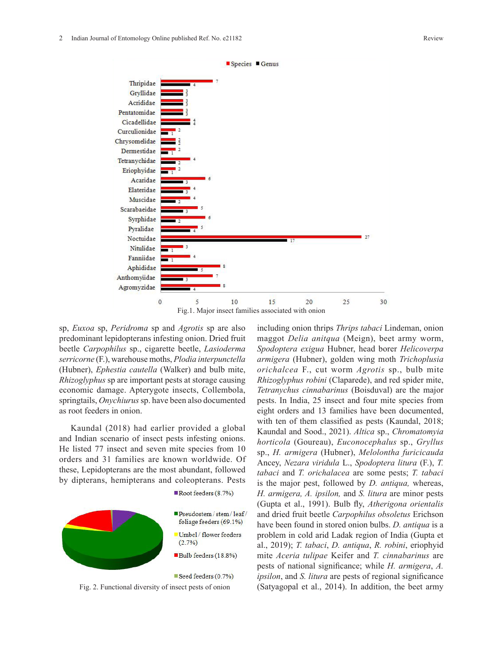

Fig.1. Major insect families associated with onion

sp, *Euxoa* sp, *Peridroma* sp and *Agrotis* sp are also predominant lepidopterans infesting onion. Dried fruit beetle *Carpophilus* sp., cigarette beetle, *Lasioderma serricorne* (F.), warehouse moths, *Plodia interpunctella* (Hubner), *Ephestia cautella* (Walker) and bulb mite, *Rhizoglyphus* sp are important pests at storage causing economic damage. Apterygote insects, Collembola, springtails, *Onychiurus* sp. have been also documented as root feeders in onion.

Kaundal (2018) had earlier provided a global and Indian scenario of insect pests infesting onions. He listed 77 insect and seven mite species from 10 orders and 31 families are known worldwide. Of these, Lepidopterans are the most abundant, followed by dipterans, hemipterans and coleopterans. Pests



including onion thrips *Thrips tabaci* Lindeman, onion maggot *Delia anitqua* (Meign), beet army worm, *Spodoptera exigua* Hubner, head borer *Helicoverpa armigera* (Hubner), golden wing moth *Trichoplusia orichalcea* F., cut worm *Agrotis* sp., bulb mite *Rhizoglyphus robini* (Claparede), and red spider mite, *Tetranychus cinnabarinus* (Boisduval) are the major pests. In India, 25 insect and four mite species from eight orders and 13 families have been documented, with ten of them classified as pests (Kaundal, 2018; Kaundal and Sood., 2021). *Altica* sp., *Chromatomyia horticola* (Goureau), *Euconocephalus* sp., *Gryllus* sp., *H. armigera* (Hubner), *Melolontha furicicauda* Ancey, *Nezara viridula* L., *Spodoptera litura* (F.), *T. tabaci* and *T. orichalacea* are some pests; *T. tabaci* is the major pest, followed by *D. antiqua,* whereas, *H. armigera, A. ipsilon,* and *S. litura* are minor pests (Gupta et al., 1991). Bulb fly, *Atherigona orientalis* and dried fruit beetle *Carpophilus obsoletus* Erichson have been found in stored onion bulbs. *D. antiqua* is a problem in cold arid Ladak region of India (Gupta et al., 2019); *T. tabaci*, *D. antiqua*, *R. robini*, eriophyid mite *Aceria tulipae* Keifer and *T. cinnabarinus* are pests of national significance; while *H. armigera*, *A. ipsilon*, and *S. litura* are pests of regional significance Fig. 2. Functional diversity of insect pests of onion (Satyagopal et al., 2014). In addition, the beet army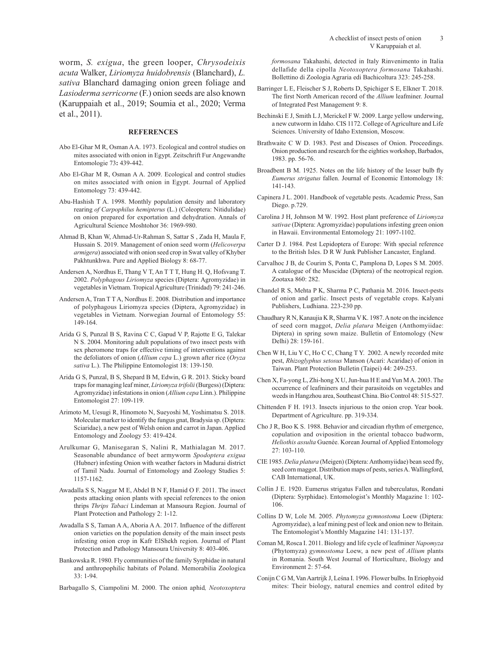worm, *S. exigua*, the green looper, *Chrysodeixis acuta* Walker, *Liriomyza huidobrensis* (Blanchard), *L. sativa* Blanchard damaging onion green foliage and *Lasioderma serricorne* (F.) onion seeds are also known (Karuppaiah et al., 2019; Soumia et al., 2020; Verma et al., 2011).

#### **REFERENCES**

- Abo El-Ghar M R, Osman A A. 1973. Ecological and control studies on mites associated with onion in Egypt. Zeitschrift Fur Angewandte Entomologie 73**:** 439-442.
- Abo El-Ghar M R, Osman A A. 2009. Ecological and control studies on mites associated with onion in Egypt. Journal of Applied Entomology 73: 439-442.
- Abu-Hashish T A. 1998. Monthly population density and laboratory rearing *of Carpophilus hemipterus* (L.) (Coleoptera: Nitidulidae) on onion prepared for exportation and dehydration. Annals of Agricultural Science Moshtohor 36: 1969-980.
- Ahmad B, Khan W, Ahmad-Ur-Rahman S, Sattar S , Zada H, Maula F, Hussain S. 2019. Management of onion seed worm (*Helicoverpa armigera*) associated with onion seed crop in Swat valley of Khyber Pakhtunkhwa. Pure and Applied Biology 8: 68-77.
- Andersen A, Nordhus E, Thang V T, An T T T, Hung H. Q, Hofsvang T. 2002. *Polyphagous Liriomyza* species (Diptera: Agromyzidae) in vegetables in Vietnam. Tropical Agriculture (Trinidad) 79: 241-246.
- Andersen A, Tran T T A, Nordhus E. 2008. Distribution and importance of polyphagous Liriomyza species (Diptera, Agromyzidae) in vegetables in Vietnam. Norwegian Journal of Entomology 55: 149-164.
- Arida G S, Punzal B S, Ravina C C, Gapud V P, Rajotte E G, Talekar N S. 2004. Monitoring adult populations of two insect pests with sex pheromone traps for effective timing of interventions against the defoliators of onion (*Allium cepa* L.) grown after rice (*Oryza sativa* L.). The Philippine Entomologist 18: 139-150.
- Arida G S, Punzal, B S, Shepard B M, Edwin, G R. 2013. Sticky board traps for managing leaf miner, *Liriomyza trifolii* (Burgess) (Diptera: Agromyzidae) infestations in onion (*Allium cepa* Linn.). Philippine Entomologist 27: 109-119.
- Arimoto M, Uesugi R, Hinomoto N, Sueyoshi M, Yoshimatsu S. 2018. Molecular marker to identify the fungus gnat, Bradysia sp. (Diptera: Sciaridae), a new pest of Welsh onion and carrot in Japan. Applied Entomology and Zoology 53: 419-424.
- Arulkumar G, Manisegaran S, Nalini R, Mathialagan M. 2017. Seasonable abundance of beet armyworm *Spodoptera exigua* (Hubner) infesting Onion with weather factors in Madurai district of Tamil Nadu. Journal of Entomology and Zoology Studies 5: 1157-1162.
- Awadalla S S, Naggar M E, Abdel B N F, Hamid O F. 2011. The insect pests attacking onion plants with special references to the onion thrips *Thrips Tabaci* Lindeman at Mansoura Region. Journal of Plant Protection and Pathology 2: 1-12.
- Awadalla S S, Taman A A, Aboria A A. 2017. Influence of the different onion varieties on the population density of the main insect pests infesting onion crop in Kafr ElShekh region. Journal of Plant Protection and Pathology Mansoura University 8: 403-406.
- Bankowska R. 1980. Fly communities of the family Syrphidae in natural and anthropophilic habitats of Poland. Memorabilia Zoologica 33: 1-94.
- Barbagallo S, Ciampolini M. 2000. The onion aphid*, Neotoxoptera*

*formosana* Takahashi, detected in Italy Rinvenimento in Italia dellafide della cipolla *Neotoxoptera formosana* Takahashi. Bollettino di Zoologia Agraria edi Bachicoltura 323: 245-258.

- Barringer L E, Fleischer S J, Roberts D, Spichiger S E, Elkner T. 2018. The first North American record of the *Allium* leafminer. Journal of Integrated Pest Management 9: 8.
- Bechinski E J, Smith L J, Merickel F W. 2009. Large yellow underwing, a new cutworm in Idaho. CIS 1172. College of Agriculture and Life Sciences. University of Idaho Extension, Moscow.
- Brathwaite C W D. 1983. Pest and Diseases of Onion. Proceedings. Onion production and research for the eighties workshop, Barbados, 1983. pp. 56-76.
- Broadbent B M. 1925. Notes on the life history of the lesser bulb fly *Eumerus strigatus* fallen. Journal of Economic Entomology 18: 141-143.
- Capinera J L. 2001. Handbook of vegetable pests. Academic Press, San Diego. p.729.
- Carolina J H, Johnson M W. 1992. Host plant preference of *Liriomyza sativae* (Diptera: Agromyzidae) populations infesting green onion in Hawaii. Environmental Entomology 21: 1097-1102.
- Carter D J. 1984. Pest Lepidoptera of Europe: With special reference to the British Isles. D R W Junk Publisher Lancaster, England.
- Carvalhoc J B, de Courim S, Ponta C, Pamplona D, Lopes S M. 2005. A catalogue of the Muscidae (Diptera) of the neotropical region. Zootaxa 860: 282.
- Chandel R S, Mehta P K, Sharma P C, Pathania M. 2016. Insect-pests of onion and garlic. Insect pests of vegetable crops. Kalyani Publishers, Ludhiana. 223-230 pp.
- Chaudhary R N, Kanaujia K R, Sharma V K. 1987. A note on the incidence of seed corn maggot, *Delia platura* Meigen (Anthomyiidae: Diptera) in spring sown maize. Bulletin of Entomology (New Delhi) 28: 159-161.
- Chen W H, Liu Y C, Ho C C, Chang T Y. 2002. A newly recorded mite pest, *Rhizoglyphus setosus* Manson (Acari: Acaridae) of onion in Taiwan. Plant Protection Bulletin (Taipei) 44: 249-253.
- Chen X, Fa-yong L, Zhi-hong X U, Jun-hua H E and Yun M A. 2003. The occurrence of leafminers and their parasitoids on vegetables and weeds in Hangzhou area, Southeast China. Bio Control 48: 515-527.
- Chittenden F H. 1913. Insects injurious to the onion crop. Year book. Department of Agriculture. pp. 319-334.
- Cho J R, Boo K S. 1988. Behavior and circadian rhythm of emergence, copulation and oviposition in the oriental tobacco budworm, *Heliothis assulta* Guenée. Korean Journal of Applied Entomology 27: 103-110.
- CIE 1985. *Delia platura* (Meigen) (Diptera: Anthomyiidae) bean seed fly, seed corn maggot. Distribution maps of pests, series A. Wallingford, CAB International, UK.
- Collin J E. 1920. Eumerus strigatus Fallen and tuberculatus, Rondani (Diptera: Syrphidae). Entomologist's Monthly Magazine 1: 102- 106.
- Collins D W, Lole M. 2005. *Phytomyza gymnostoma* Loew (Diptera: Agromyzidae), a leaf mining pest of leek and onion new to Britain. The Entomologist's Monthly Magazine 141: 131-137.
- Coman M, Rosca I. 2011. Biology and life cycle of leafminer *Napomyza* (Phytomyza) *gymnostoma* Loew, a new pest of *Allium* plants in Romania. South West Journal of Horticulture, Biology and Environment 2: 57-64.
- Conijn C G M, Van Aartrijk J, Leśna I. 1996. Flower bulbs. In Eriophyoid mites: Their biology, natural enemies and control edited by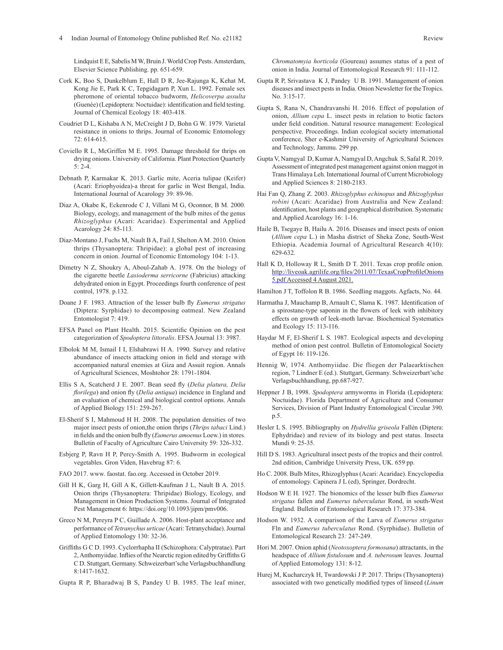Lindquist E E, Sabelis M W, Bruin J. World Crop Pests. Amsterdam, Elsevier Science Publishing. pp. 651-659.

- Cork K, Boo S, Dunkelblum E, Hall D R, Jee-Rajunga K, Kehat M, Kong Jie E, Park K C, Tepgidagarn P, Xun L. 1992. Female sex pheromone of oriental tobacco budworm, *Helicoverpa assulta* (Guenée) (Lepidoptera: Noctuidae): identification and field testing. Journal of Chemical Ecology 18: 403-418.
- Coudriet D L, Kishaba A N, McCreight J D, Bohn G W. 1979. Varietal resistance in onions to thrips. Journal of Economic Entomology 72: 614-615.
- Coviello R L, McGriffen M E. 1995. Damage threshold for thrips on drying onions. University of California. Plant Protection Quarterly 5: 2-4.
- Debnath P, Karmakar K. 2013. Garlic mite, Aceria tulipae (Keifer) (Acari: Eriophyoidea)-a threat for garlic in West Bengal, India. International Journal of Acarology 39: 89-96.
- Diaz A, Okabe K, Eckenrode C J, Villani M G, Oconnor, B M. 2000. Biology, ecology, and management of the bulb mites of the genus *Rhizoglyphus* (Acari: Acaridae). Experimental and Applied Acarology 24: 85-113.
- Diaz-Montano J, Fuchs M, Nault B A, Fail J, Shelton A M. 2010. Onion thrips (Thysanoptera: Thripidae): a global pest of increasing concern in onion. Journal of Economic Entomology 104: 1-13.
- Dimetry N Z, Shoukry A, Aboul-Zahab A. 1978. On the biology of the cigarette beetle *Lasioderma serricorne* (Fabricius) attacking dehydrated onion in Egypt. Proceedings fourth conference of pest control, 1978. p.132.
- Doane J F. 1983. Attraction of the lesser bulb fly *Eumerus strigatus* (Diptera: Syrphidae) to decomposing oatmeal. New Zealand Entomologist 7: 419.
- EFSA Panel on Plant Health. 2015. Scientific Opinion on the pest categorization of *Spodoptera littoralis*. EFSA Journal 13: 3987.
- Elbolok M M, Ismail I I, Elshabrawi H A. 1990. Survey and relative abundance of insects attacking onion in field and storage with accompanied natural enemies at Giza and Assuit region. Annals of Agricultural Sciences, Moshtohor 28: 1791-1804.
- Ellis S A, Scatcherd J E. 2007. Bean seed fly (*Delia platura, Delia florilega*) and onion fly (*Delia antiqua*) incidence in England and an evaluation of chemical and biological control options. Annals of Applied Biology 151: 259-267.
- El-Sherif S I, Mahmoud H H. 2008. The population densities of two major insect pests of onion,the onion thrips (*Thrips tabaci* Lind.) in fields and the onion bulb fly (*Eumerus amoenus* Loew.) in stores. Bulletin of Faculty of Agriculture Cairo University 59: 326-332.
- Esbjerg P, Ravn H P, Percy-Smith A. 1995. Budworm in ecological vegetables. Gron Viden, Havebrug 87: 6.
- FAO 2017. www. faostat. fao.org. Accessed in October 2019.
- Gill H K, Garg H, Gill A K, Gillett-Kaufman J L, Nault B A. 2015. Onion thrips (Thysanoptera: Thripidae) Biology, Ecology, and Management in Onion Production Systems. Journal of Integrated Pest Management 6: https://doi.org/10.1093/jipm/pmv006.
- Greco N M, Pereyra P C, Guillade A. 2006. Host-plant acceptance and performance of *Tetranychus urticae* (Acari: Tetranychidae). Journal of Applied Entomology 130: 32-36.
- Griffiths G C D. 1993. Cyclorrhapha II (Schizophora: Calyptratae). Part 2, Anthomyiidae. Inflies of the Nearctic region edited by Griffiths G C D. Stuttgart, Germany. Schweizerbart'sche Verlagsbuchhandlung 8:1417-1632.
- Gupta R P, Bharadwaj B S, Pandey U B. 1985. The leaf miner,

*Chromatomyia horticola* (Goureau) assumes status of a pest of onion in India. Journal of Entomological Research 91: 111-112.

- Gupta R P, Srivastava K J, Pandey U B. 1991. Management of onion diseases and insect pests in India. Onion Newsletter for the Tropics. No. 3:15-17.
- Gupta S, Rana N, Chandravanshi H. 2016. Effect of population of onion, *Allium cepa* L. insect pests in relation to biotic factors under field condition. Natural resource management: Ecological perspective. Proceedings. Indian ecological society international conference, Sher e-Kashmir University of Agricultural Sciences and Technology, Jammu. 299 pp.
- Gupta V, Namgyal D, Kumar A, Namgyal D, Angchuk S, Safal R. 2019. Assessment of integrated pest management against onion maggot in Trans Himalaya Leh. International Journal of Current Microbiology and Applied Sciences 8: 2180-2183.
- Hai Fan Q, Zhang Z. 2003. *Rhizoglyphus echinopus* and *Rhizoglyphus robini* (Acari: Acaridae) from Australia and New Zealand: identification, host plants and geographical distribution. Systematic and Applied Acarology 16: 1-16.
- Haile B, Tsegaye B, Hailu A. 2016. Diseases and insect pests of onion (*Allium cepa* L.) in Masha district of Sheka Zone, South-West Ethiopia. Academia Journal of Agricultural Research 4(10): 629-632.
- Hall K D, Holloway R L, Smith D T. 2011. Texas crop profile onion. http://liveoak.agrilife.org/files/2011/07/TexasCropProfileOnions 5.pdf Accessed 4 August 2021.
- Hamilton J T, Toffolon R B. 1986. Seedling maggots. Agfacts, No. 44.
- Harmatha J, Mauchamp B, Arnault C, Slama K. 1987. Identification of a spirostane-type saponin in the flowers of leek with inhibitory effects on growth of leek-moth larvae. Biochemical Systematics and Ecology 15: 113-116.
- Haydar M F, El-Sherif L S. 1987. Ecological aspects and developing method of onion pest control. Bulletin of Entomological Society of Egypt 16: 119-126.
- Hennig W, 1974. Anthomyiidae. Die fliegen der Palaearktischen region, 7 Lindner E (ed.). Stuttgart, Germany. Schweizerbart'sche Verlagsbuchhandlung, pp.687-927.
- Heppner J B, 1998. *Spodoptera* armyworms in Florida (Lepidoptera: Noctuidae). Florida Department of Agriculture and Consumer Services, Division of Plant Industry Entomological Circular 390. p.5.
- Hesler L S. 1995. Bibliography on *Hydrellia griseola* Fallén (Diptera: Ephydridae) and review of its biology and pest status. Insecta Mundi 9: 25-35.
- Hill D S. 1983. Agricultural insect pests of the tropics and their control. 2nd edition, Cambridge University Press, UK. 659 pp.
- Ho C. 2008. Bulb Mites, Rhizoglyphus (Acari: Acaridae). Encyclopedia of entomology. Capinera J L (ed), Springer, Dordrecht.
- Hodson W E H. 1927. The bionomics of the lesser bulb flies *Eumerus strigatus* fallen and *Eumerus tuberculatus* Rond, in south-West England. Bulletin of Entomological Research 17: 373-384.
- Hodson W. 1932. A comparison of the Larva of *Eumerus strigatus* Fln and *Eumerus tuberculatus* Rond. (Syrphidae). Bulletin of Entomological Research 23*:* 247-249.
- Hori M. 2007. Onion aphid (*Neotoxoptera formosana*) attractants, in the headspace of *Allium fistulosum* and *A. tuberosum* leaves. Journal of Applied Entomology 131: 8-12.
- Hurej M, Kucharczyk H, Twardowski J P. 2017. Thrips (Thysanoptera) associated with two genetically modified types of linseed (*Linum*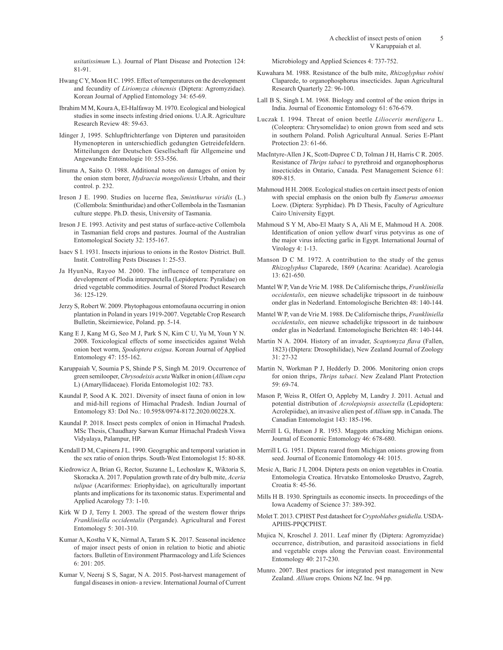*usitatissimum* L.). Journal of Plant Disease and Protection 124: 81-91.

- Hwang C Y, Moon H C. 1995. Effect of temperatures on the development and fecundity of *Liriomyza chinensis* (Diptera: Agromyzidae). Korean Journal of Applied Entomology 34: 65-69.
- Ibrahim M M, Koura A, El-Halfaway M. 1970. Ecological and biological studies in some insects infesting dried onions. U.A.R. Agriculture Research Review 48: 59-63.
- Idinger J, 1995. Schlupftrichterfange von Dipteren und parasitoiden Hymenopteren in unterschiedlich gedungten Getreidefeldern. Mitteilungen der Deutschen Gesellschaft für Allgemeine und Angewandte Entomologie 10: 553-556.
- Iinuma A, Saito O. 1988. Additional notes on damages of onion by the onion stem borer, *Hydraecia mongoliensis* Urbahn, and their control. p. 232.
- Ireson J E. 1990. Studies on lucerne flea, *Sminthurus viridis* (L.) (Collembola: Sminthuridae) and other Collembola in the Tasmanian culture steppe. Ph.D. thesis, University of Tasmania.
- Ireson J E. 1993. Activity and pest status of surface-active Collembola in Tasmanian field crops and pastures. Journal of the Australian Entomological Society 32: 155-167.
- Isaev S I. 1931. Insects injurious to onions in the Rostov District. Bull. Instit. Controlling Pests Diseases 1: 25-53.
- Ja HyunNa, Rayoo M. 2000. The influence of temperature on development of Plodia interpunctella (Lepidoptera: Pyralidae) on dried vegetable commodities. Journal of Stored Product Research 36: 125-129.
- Jerzy S, Robert W. 2009. Phytophagous entomofauna occurring in onion plantation in Poland in years 1919-2007. Vegetable Crop Research Bulletin, Skeirniewice, Poland. pp. 5-14.
- Kang E J, Kang M G, Seo M J, Park S N, Kim C U, Yu M, Youn Y N. 2008. Toxicological effects of some insecticides against Welsh onion beet worm, *Spodoptera exigua*. Korean Journal of Applied Entomology 47: 155-162.
- Karuppaiah V, Soumia P S, Shinde P S, Singh M. 2019. Occurrence of green semilooper, *Chrysodeixis acuta* Walker in onion (*Allium cepa* L) (Amaryllidaceae). Florida Entomologist 102: 783.
- Kaundal P, Sood A K. 2021. Diversity of insect fauna of onion in low and mid-hill regions of Himachal Pradesh. Indian Journal of Entomology 83: DoI No.: 10.5958/0974-8172.2020.00228.X.
- Kaundal P. 2018. Insect pests complex of onion in Himachal Pradesh. MSc Thesis, Chaudhary Sarwan Kumar Himachal Pradesh Viswa Vidyalaya, Palampur, HP.
- Kendall D M, Capinera J L. 1990. Geographic and temporal variation in the sex ratio of onion thrips. South-West Entomologist 15: 80-88.
- Kiedrowicz A, Brian G, Rector, Suzanne L, Lechosław K, Wiktoria S, Skoracka A. 2017. Population growth rate of dry bulb mite, *Aceria tulipae* (Acariformes: Eriophyidae), on agriculturally important plants and implications for its taxonomic status. Experimental and Applied Acarology 73: 1-10.
- Kirk W D J, Terry I. 2003. The spread of the western flower thrips *Frankliniella occidentalis* (Pergande). Agricultural and Forest Entomology 5: 301-310.
- Kumar A, Kostha V K, Nirmal A, Taram S K. 2017. Seasonal incidence of major insect pests of onion in relation to biotic and abiotic factors. Bulletin of Environment Pharmacology and Life Sciences 6: 201: 205.
- Kumar V, Neeraj S S, Sagar, N A. 2015. Post-harvest management of fungal diseases in onion- a review. International Journal of Current

Microbiology and Applied Sciences 4: 737-752.

- Kuwahara M. 1988. Resistance of the bulb mite, *Rhizoglyphus robini* Claparede, to organophosphorus insecticides. Japan Agricultural Research Quarterly 22: 96-100.
- Lall B S, Singh L M. 1968. Biology and control of the onion thrips in India. Journal of Economic Entomology 61: 676-679.
- Luczak I. 1994. Threat of onion beetle *Lilioceris merdigera* L. (Coleoptera: Chrysomelidae) to onion grown from seed and sets in southern Poland. Polish Agricultural Annual. Series E-Plant Protection 23: 61-66.
- MacIntyre-Allen J K, Scott-Dupree C D, Tolman J H, Harris C R. 2005. Resistance of *Thrips tabaci* to pyrethroid and organophosphorus insecticides in Ontario, Canada. Pest Management Science 61: 809-815.
- Mahmoud H H. 2008. Ecological studies on certain insect pests of onion with special emphasis on the onion bulb fly *Eumerus amoenus* Loew. (Diptera: Syrphidae). Ph D Thesis, Faculty of Agriculture Cairo University Egypt.
- Mahmoud S Y M, Abo-El Maaty S A, Ali M E, Mahmoud H A. 2008. Identification of onion yellow dwarf virus potyvirus as one of the major virus infecting garlic in Egypt. International Journal of Virology 4: 1-13.
- Manson D C M. 1972. A contribution to the study of the genus *Rhizoglyphus* Claparede, 1869 (Acarina: Acaridae). Acarologia 13: 621-650.
- Mantel W P, Van de Vrie M. 1988. De Californische thrips, *Frankliniella occidentalis*, een nieuwe schadelijke tripssoort in de tuinbouw onder glas in Nederland. Entomologische Berichten 48: 140-144.
- Mantel W P, van de Vrie M. 1988. De Californische thrips, *Frankliniella occidentalis*, een nieuwe schadelijke tripssoort in de tuinbouw onder glas in Nederland. Entomologische Berichten 48: 140-144.
- Martin N A. 2004. History of an invader, *Scaptomyza flava* (Fallen, 1823) (Diptera: Drosophilidae), New Zealand Journal of Zoology 31: 27-32
- Martin N, Workman P J, Hedderly D. 2006. Monitoring onion crops for onion thrips, *Thrips tabaci*. New Zealand Plant Protection 59: 69-74.
- Mason P, Weiss R, Olfert O, Appleby M, Landry J. 2011. Actual and potential distribution of *Acrolepiopsis assectella* (Lepidoptera: Acrolepiidae), an invasive alien pest of *Allium* spp. in Canada. The Canadian Entomologist 143: 185-196.
- Merrill L G, Hutson J R. 1953. Maggots attacking Michigan onions. Journal of Economic Entomology 46: 678-680.
- Merrill L G. 1951. Diptera reared from Michigan onions growing from seed. Journal of Economic Entomology 44: 1015.
- Mesic A, Baric J I, 2004. Diptera pests on onion vegetables in Croatia. Entomologia Croatica. Hrvatsko Entomolosko Drustvo, Zagreb, Croatia 8: 45-56.
- Mills H B. 1930. Springtails as economic insects. In proceedings of the Iowa Academy of Science 37: 389-392.
- Molet T. 2013. CPHST Pest datasheet for *Cryptoblabes gnidiella*. USDA-APHIS-PPQCPHST.
- Mujica N, Kroschel J. 2011. Leaf miner fly (Diptera: Agromyzidae) occurrence, distribution, and parasitoid associations in field and vegetable crops along the Peruvian coast. Environmental Entomology 40: 217-230.
- Munro. 2007. Best practices for integrated pest management in New Zealand. *Allium* crops. Onions NZ Inc. 94 pp.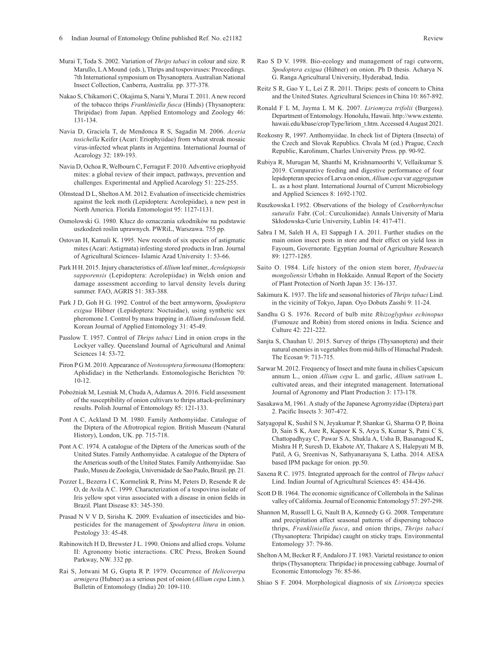- Murai T, Toda S. 2002. Variation of *Thrips tabaci* in colour and size. R Marullo, LA Mound (eds.), Thrips and tospoviruses: Proceedings. 7th International symposium on Thysanoptera. Australian National Insect Collection, Canberra, Australia. pp. 377-378.
- Nakao S, Chikamori C, Okajima S, Narai Y, Murai T. 2011. A new record of the tobacco thrips *Frankliniella fusca* (Hinds) (Thysanoptera: Thripidae) from Japan. Applied Entomology and Zoology 46: 131-134.
- Navia D, Graciela T, de Mendonca R S, Sagadin M. 2006. *Aceria tosichella* Keifer (Acari: Eriophyiidae) from wheat streak mosaic virus-infected wheat plants in Argentina. International Journal of Acarology 32: 189-193.
- Navia D, Ochoa R, Welbourn C, Ferragut F. 2010. Adventive eriophyoid mites: a global review of their impact, pathways, prevention and challenges. Experimental and Applied Acarology 51: 225-255.
- Olmstead D L, Shelton A M. 2012. Evaluation of insecticide chemistries against the leek moth (Lepidoptera: Acrolepiidae), a new pest in North America. Florida Entomologist 95: 1127-1131.
- Osmolowski G. 1980. Klucz do oznaczania szkodników na podstawie uszkodzeń roslin uprawnych. PWRiL, Warszawa. 755 pp.
- Ostovan H, Kamali K. 1995. New records of six species of astigmatic mites (Acari: Astigmata) infesting stored products in Iran. Journal of Agricultural Sciences- Islamic Azad University 1: 53-66.
- Park H H. 2015. Injury characteristics of *Allium* leaf miner, *Acrolepiopsis sapporensis* (Lepidoptera: Acrolepiidae) in Welsh onion and damage assessment according to larval density levels during summer. FAO, AGRIS 51: 383-388.
- Park J D, Goh H G. 1992. Control of the beet armyworm, *Spodoptera exigua* Hübner (Lepidoptera: Noctuidae), using synthetic sex pheromone I. Control by mass trapping in *Allium fistulosum* field. Korean Journal of Applied Entomology 31: 45-49.
- Passlow T. 1957. Control of *Thrips tabaci* Lind in onion crops in the Lockyer valley. Queensland Journal of Agricultural and Animal Sciences 14: 53-72.
- Piron P G M. 2010. Appearance of *Neotoxoptera formosana* (Homoptera: Aphididae) in the Netherlands. Entomologische Berichten 70: 10-12.
- Pobożniak M, Lesniak M, Chuda A, Adamus A. 2016. Field assessment of the susceptibility of onion cultivars to thrips attack-preliminary results. Polish Journal of Entomology 85: 121-133.
- Pont A C, Ackland D M. 1980. Family Anthomyiidae. Catalogue of the Diptera of the Afrotropical region. British Museum (Natural History), London, UK. pp. 715-718.
- Pont A C. 1974. A catalogue of the Diptera of the Americas south of the United States. Family Anthomyiidae. A catalogue of the Diptera of the Americas south of the United States. Family Anthomyiidae. Sao Paulo, Museu de Zoologia, Universidade de Sao Paulo, Brazil. pp. 21.
- Pozzer L, Bezerra I C, Kormelink R, Prins M, Peters D, Resende R de O, de Avila A C. 1999. Characterization of a tospovirus isolate of Iris yellow spot virus associated with a disease in onion fields in Brazil. Plant Disease 83: 345-350.
- Prasad N V V D, Sirisha K. 2009. Evaluation of insecticides and biopesticides for the management of *Spodoptera litura* in onion. Pestology 33: 45-48.
- Rabinowitch H D, Brewster J L. 1990. Onions and allied crops. Volume II: Agronomy biotic interactions. CRC Press, Broken Sound Parkway, NW. 332 pp.
- Rai S, Jotwani M G, Gupta R P. 1979. Occurrence of *Helicoverpa armigera* (Hubner) as a serious pest of onion (*Allium cepa* Linn.). Bulletin of Entomology (India) 20: 109-110.
- Rao S D V. 1998. Bio-ecology and management of ragi cutworm, *Spodoptera exigua* (Hübner) on onion. Ph D thesis. Acharya N. G. Ranga Agricultural University, Hyderabad, India.
- Reitz S R, Gao Y L, Lei Z R. 2011. Thrips: pests of concern to China and the United States. Agricultural Sciences in China 10: 867-892.
- Ronald F L M, Jayma L M K. 2007. *Liriomyza trifolii* (Burgess). Department of Entomology. Honolulu, Hawaii. http://www.extento. hawaii.edu/kbase/crop/Type/liriom\_t.htm. Accessed 4 August 2021.
- Rozkosny R, 1997. Anthomyiidae. In check list of Diptera (Insecta) of the Czech and Slovak Republics. Chvala M (ed.) Prague, Czech Republic, Karolinum, Charles University Press. pp. 90-92.
- Rubiya R, Murugan M, Shanthi M, Krishnamoorthi V, Vellaikumar S. 2019. Comparative feeding and digestive performance of four lepidopteran species of Larva on onion, *Allium cepa* var *aggregatum* L. as a host plant. International Journal of Current Microbiology and Applied Sciences 8: 1692-1702.
- Ruszkowska I. 1952. Observations of the biology of *Ceuthorrhynchus suturalis* Fabr. (Col.: Curculionidae). Annals University of Maria Skłodowska-Curie University, Lublin 14: 417-471.
- Sabra I M, Saleh H A, El Sappagh I A. 2011. Further studies on the main onion insect pests in store and their effect on yield loss in Fayoum, Governorate. Egyptian Journal of Agriculture Research 89: 1277-1285.
- Saito O. 1984. Life history of the onion stem borer, *Hydraecia mongoliensis* Urbahn in Hokkaido. Annual Report of the Society of Plant Protection of North Japan 35: 136-137.
- Sakimura K. 1937. The life and seasonal histories of *Thrips tabaci* Lind. in the vicinity of Tokyo, Japan. Oyo Dobuts Zasshi 9: 11-24.
- Sandhu G S. 1976. Record of bulb mite *Rhizoglyphus echinopus* (Fumouze and Robin) from stored onions in India. Science and Culture 42: 221-222.
- Sanjta S, Chauhan U. 2015. Survey of thrips (Thysanoptera) and their natural enemies in vegetables from mid-hills of Himachal Pradesh. The Ecosan 9: 713-715.
- Sarwar M. 2012. Frequency of Insect and mite fauna in chilies Capsicum annum L., onion *Allium cepa* L. and garlic, *Allium sativum* L. cultivated areas, and their integrated management. International Journal of Agronomy and Plant Production 3: 173-178.
- Sasakawa M, 1961. A study of the Japanese Agromyzidae (Diptera) part 2. Pacific Insects 3: 307-472.
- Satyagopal K, Sushil S N, Jeyakumar P, Shankar G, Sharma O P, Boina D, Sain S K, Asre R, Kapoor K S, Arya S, Kumar S, Patni C S, Chattopadhyay C, Pawar S A, Shukla A, Usha B, Basanagoud K, Mishra H P, Suresh D, Ekabote AY, Thakare A S, Halepyati M B, Patil, A G, Sreenivas N, Sathyanarayana S, Latha. 2014. AESA based IPM package for onion. pp.50.
- Saxena R C. 1975. Integrated approach for the control of *Thrips tabaci* Lind. Indian Journal of Agricultural Sciences 45: 434-436.
- Scott D B. 1964. The economic significance of Collembola in the Salinas valley of California. Journal of Economic Entomology 57: 297-298.
- Shannon M, Russell L G, Nault B A, Kennedy G G. 2008. Temperature and precipitation affect seasonal patterns of dispersing tobacco thrips, *Frankliniella fusca*, and onion thrips, *Thrips tabaci* (Thysanoptera: Thripidae) caught on sticky traps. Environmental Entomology 37: 79-86.
- Shelton A M, Becker R F, Andaloro J T. 1983. Varietal resistance to onion thrips (Thysanoptera: Thripidae) in processing cabbage. Journal of Economic Entomology 76: 85-86.
- Shiao S F. 2004. Morphological diagnosis of six *Liriomyza* species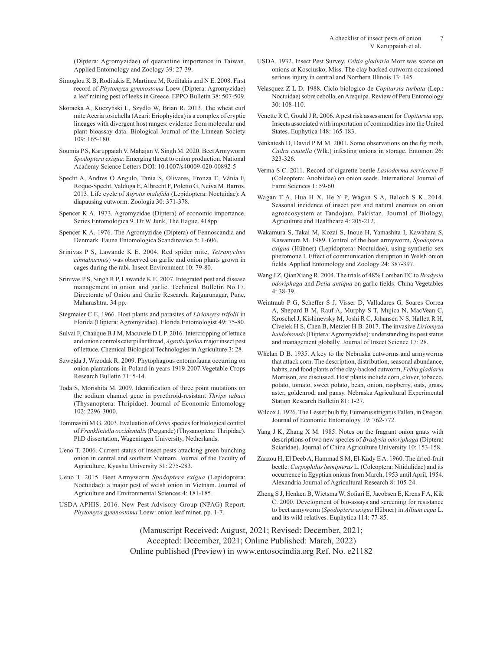(Diptera: Agromyzidae) of quarantine importance in Taiwan. Applied Entomology and Zoology 39: 27-39.

- Simoglou K B, Roditakis E, Martinez M, Roditakis and N E. 2008. First record of *Phytomyza gymnostoma* Loew (Diptera: Agromyzidae) a leaf mining pest of leeks in Greece. EPPO Bulletin 38: 507-509.
- Skoracka A, Kuczyński L, Szydło W, Brian R. 2013. The wheat curl mite Aceria tosichella (Acari: Eriophyidea) is a complex of cryptic lineages with divergent host ranges: evidence from molecular and plant bioassay data. Biological Journal of the Linnean Society 109: 165-180.
- Soumia P S, Karuppaiah V, Mahajan V, Singh M. 2020. Beet Armyworm *Spodoptera exigua*: Emerging threat to onion production. National Academy Science Letters DOI: 10.1007/s40009-020-00892-5
- Specht A, Andres O Angulo, Tania S, Olivares, Fronza E, Vânia F, Roque-Specht, Valduga E, Albrecht F, Poletto G, Neiva M Barros. 2013. Life cycle of *Agrotis malefida* (Lepidoptera: Noctuidae): A diapausing cutworm. Zoologia 30: 371-378.
- Spencer K A. 1973. Agromyzidae (Diptera) of economic importance. Series Entomologica 9. Dr W Junk, The Hague. 418pp.
- Spencer K A. 1976. The Agromyzidae (Diptera) of Fennoscandia and Denmark. Fauna Entomologica Scandinavica 5: 1-606.
- Srinivas P S, Lawande K E. 2004. Red spider mite, *Tetranychus cinnabarinus*) was observed on garlic and onion plants grown in cages during the rabi. Insect Environment 10: 79-80.
- Srinivas P S, Singh R P, Lawande K E. 2007. Integrated pest and disease management in onion and garlic. Technical Bulletin No.17. Directorate of Onion and Garlic Research, Rajgurunagar, Pune, Maharashtra. 34 pp.
- Stegmaier C E. 1966. Host plants and parasites of *Liriomyza trifolii* in Florida (Diptera: Agromyzidae). Florida Entomologist 49: 75-80.
- Sulvai F, Chaúque B J M, Macuvele D L P. 2016. Intercropping of lettuce and onion controls caterpillar thread, *Agrotis ípsilon* major insect pest of lettuce. Chemical Biological Technologies in Agriculture 3: 28.
- Szwejda J, Wrzodak R. 2009. Phytophagous entomofauna occurring on onion plantations in Poland in years 1919-2007.Vegetable Crops Research Bulletin 71: 5-14.
- Toda S, Morishita M. 2009. Identification of three point mutations on the sodium channel gene in pyrethroid-resistant *Thrips tabaci* (Thysanoptera: Thripidae). Journal of Economic Entomology 102: 2296-3000.
- Tommasini M G. 2003. Evaluation of *Orius* species for biological control of *Frankliniella occidentalis* (Pergande) (Thysanoptera: Thripidae). PhD dissertation, Wageningen University, Netherlands.
- Ueno T. 2006. Current status of insect pests attacking green bunching onion in central and southern Vietnam. Journal of the Faculty of Agriculture, Kyushu University 51: 275-283.
- Ueno T. 2015. Beet Armyworm *Spodoptera exigua* (Lepidoptera: Noctuidae): a major pest of welsh onion in Vietnam. Journal of Agriculture and Environmental Sciences 4: 181-185.
- USDA APHIS. 2016. New Pest Advisory Group (NPAG) Report. *Phytomyza gymnostoma* Loew: onion leaf miner. pp. 1-7.
- USDA. 1932. Insect Pest Survey. *Feltia gladiaria* Morr was scarce on onions at Kosciusko, Miss. The clay backed cutworm occasioned serious injury in central and Northern Illinois 13: 145.
- Velasquez Z L D. 1988. Ciclo biologico de *Copitarsia turbata* (Lep.: Noctuidae) sobre cebolla, en Arequipa. Review of Peru Entomology 30: 108-110.
- Venette R C, Gould J R. 2006. A pest risk assessment for *Copitarsia* spp. Insects associated with importation of commodities into the United States. Euphytica 148: 165-183.
- Venkatesh D, David P M M. 2001. Some observations on the fig moth, *Cadra cautella* (Wlk.) infesting onions in storage. Entomon 26: 323-326.
- Verma S C. 2011. Record of cigarette beetle *Lasioderma serricorne* F (Coleoptera: Anobiidae) on onion seeds. International Journal of Farm Sciences 1: 59-60.
- Wagan T A, Hua H X, He Y P, Wagan S A, Baloch S K. 2014. Seasonal incidence of insect pest and natural enemies on onion agroecosystem at Tandojam, Pakistan. Journal of Biology, Agriculture and Healthcare 4: 205-212.
- Wakamura S, Takai M, Kozai S, Inoue H, Yamashita I, Kawahara S, Kawamura M. 1989. Control of the beet armyworm, *Spodoptera exigua* (Hübner) (Lepidoptera: Noctuidae), using synthetic sex pheromone I. Effect of communication disruption in Welsh onion fields. Applied Entomology and Zoology 24: 387-397.
- Wang J Z, QianXiang R. 2004. The trials of 48% Lorsban EC to *Bradysia odoriphaga* and *Delia antiqua* on garlic fields. China Vegetables 4: 38-39.
- Weintraub P G, Scheffer S J, Visser D, Valladares G, Soares Correa A, Shepard B M, Rauf A, Murphy S T, Mujica N, MacVean C, Kroschel J, Kishinevsky M, Joshi R C, Johansen N S, Hallett R H, Civelek H S, Chen B, Metzler H B. 2017. The invasive *Liriomyza huidobrensis* (Diptera: Agromyzidae): understanding its pest status and management globally. Journal of Insect Science 17: 28.
- Whelan D B. 1935. A key to the Nebraska cutworms and armyworms that attack corn. The description, distribution, seasonal abundance, habits, and food plants of the clay-backed cutworm, *Feltia gladiaria* Morrison, are discussed. Host plants include corn, clover, tobacco, potato, tomato, sweet potato, bean, onion, raspberry, oats, grass, aster, goldenrod, and pansy. Nebraska Agricultural Experimental Station Research Bulletin 81: 1-27.
- Wilcox J. 1926. The Lesser bulb fly, Eumerus strigatus Fallen, in Oregon. Journal of Economic Entomology 19: 762-772.
- Yang J K, Zhang X M. 1985. Notes on the fragrant onion gnats with descriptions of two new species of *Bradysia odoriphaga* (Diptera: Sciaridae). Journal of China Agriculture University 10: 153-158.
- Zaazou H, El Deeb A, Hammad S M, El-Kady E A. 1960. The dried-fruit beetle: *Carpophilus hemipterus* L. (Coleoptera: Nitidulidae) and its occurrence in Egyptian onions from March, 1953 until April, 1954. Alexandria Journal of Agricultural Research 8: 105-24.
- Zheng S J, Henken B, Wietsma W, Sofiari E, Jacobsen E, Krens F A, Kik C. 2000. Development of bio-assays and screening for resistance to beet armyworm (*Spodoptera exigua* Hübner) in *Allium cepa* L. and its wild relatives. Euphytica 114: 77-85.

(Manuscript Received: August, 2021; Revised: December, 2021; Accepted: December, 2021; Online Published: March, 2022) Online published (Preview) in www.entosocindia.org Ref. No. e21182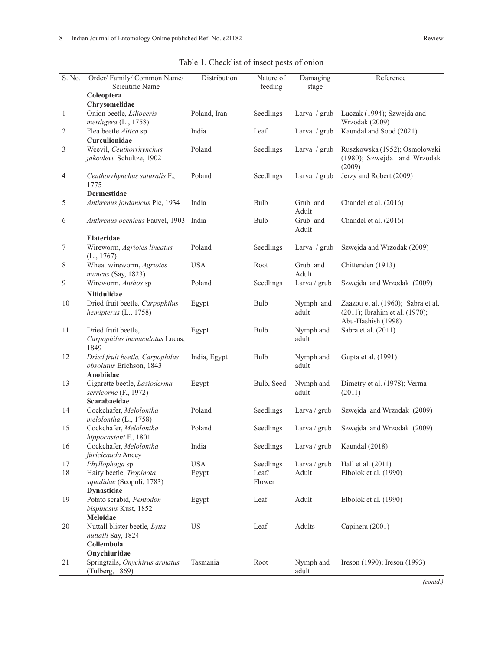| S. No.         | Order/Family/Common Name/<br>Scientific Name                              | Distribution | Nature of<br>feeding | Damaging<br>stage  | Reference                                                                                  |
|----------------|---------------------------------------------------------------------------|--------------|----------------------|--------------------|--------------------------------------------------------------------------------------------|
|                | Coleoptera                                                                |              |                      |                    |                                                                                            |
|                | Chrysomelidae                                                             |              |                      |                    |                                                                                            |
| 1              | Onion beetle, Lilioceris<br>merdigera (L., 1758)                          | Poland, Iran | Seedlings            | Larva / grub       | Luczak (1994); Szwejda and<br>Wrzodak (2009)                                               |
| 2              | Flea beetle Altica sp<br>Curculionidae                                    | India        | Leaf                 | Larva / grub       | Kaundal and Sood (2021)                                                                    |
| 3              | Weevil, Ceuthorrhynchus<br>jakovlevi Schultze, 1902                       | Poland       | Seedlings            | Larva / grub       | Ruszkowska (1952); Osmolowski<br>(1980); Szwejda and Wrzodak<br>(2009)                     |
| $\overline{4}$ | Ceuthorrhynchus suturalis F.,<br>1775                                     | Poland       | Seedlings            | Larva / grub       | Jerzy and Robert (2009)                                                                    |
|                | Dermestidae                                                               |              |                      |                    |                                                                                            |
| 5              | Anthrenus jordanicus Pic, 1934                                            | India        | Bulb                 | Grub and<br>Adult  | Chandel et al. (2016)                                                                      |
| 6              | Anthrenus ocenicus Fauvel, 1903                                           | India        | Bulb                 | Grub and<br>Adult  | Chandel et al. (2016)                                                                      |
|                | Elateridae                                                                |              |                      |                    |                                                                                            |
| 7              | Wireworm, Agriotes lineatus<br>(L., 1767)                                 | Poland       | Seedlings            | Larva / grub       | Szwejda and Wrzodak (2009)                                                                 |
| 8              | Wheat wireworm, Agriotes<br>mancus (Say, 1823)                            | <b>USA</b>   | Root                 | Grub and<br>Adult  | Chittenden (1913)                                                                          |
| 9              | Wireworm, Anthos sp                                                       | Poland       | Seedlings            | Larva / grub       | Szwejda and Wrzodak (2009)                                                                 |
|                | Nitidulidae                                                               |              |                      |                    |                                                                                            |
| 10             | Dried fruit beetle, Carpophilus<br>hemipterus $(L., 1758)$                | Egypt        | Bulb                 | Nymph and<br>adult | Zaazou et al. (1960); Sabra et al.<br>(2011); Ibrahim et al. (1970);<br>Abu-Hashish (1998) |
| 11             | Dried fruit beetle,<br>Carpophilus immaculatus Lucas,<br>1849             | Egypt        | Bulb                 | Nymph and<br>adult | Sabra et al. (2011)                                                                        |
| 12             | Dried fruit beetle, Carpophilus<br>obsolutus Erichson, 1843<br>Anobiidae  | India, Egypt | Bulb                 | Nymph and<br>adult | Gupta et al. (1991)                                                                        |
| 13             | Cigarette beetle, Lasioderma<br>serricorne (F., 1972)                     | Egypt        | Bulb, Seed           | Nymph and<br>adult | Dimetry et al. (1978); Verma<br>(2011)                                                     |
|                | Scarabaeidae                                                              |              |                      |                    |                                                                                            |
| 14             | Cockchafer, Melolontha<br>melolontha $(L., 1758)$                         | Poland       | Seedlings            | Larva / grub       | Szwejda and Wrzodak (2009)                                                                 |
| 15             | Cockchafer, Melolontha<br>hippocastani F., 1801                           | Poland       | Seedlings            | Larva / grub       | Szwejda and Wrzodak (2009)                                                                 |
| 16             | Cockchafer, Melolontha<br>furicicauda Ancey                               | India        | Seedlings            | Larva / grub       | Kaundal (2018)                                                                             |
| 17             | Phyllophaga sp                                                            | <b>USA</b>   | Seedlings            | Larva / grub       | Hall et al. (2011)                                                                         |
| $18\,$         | Hairy beetle, Tropinota<br>squalidae (Scopoli, 1783)<br><b>Dynastidae</b> | Egypt        | Leaf/<br>Flower      | Adult              | Elbolok et al. (1990)                                                                      |
| 19             | Potato scrabid, Pentodon<br>bispinosus Kust, 1852                         | Egypt        | Leaf                 | Adult              | Elbolok et al. (1990)                                                                      |
|                | Meloidae                                                                  |              |                      |                    |                                                                                            |
| 20             | Nuttall blister beetle, Lytta<br>nuttalli Say, 1824<br>Collembola         | <b>US</b>    | Leaf                 | Adults             | Capinera (2001)                                                                            |
|                | Onychiuridae                                                              |              |                      |                    |                                                                                            |
| 21             | Springtails, Onychirus armatus<br>(Tulberg, 1869)                         | Tasmania     | Root                 | Nymph and<br>adult | Ireson (1990); Ireson (1993)                                                               |

# Table 1. Checklist of insect pests of onion

*(contd.)*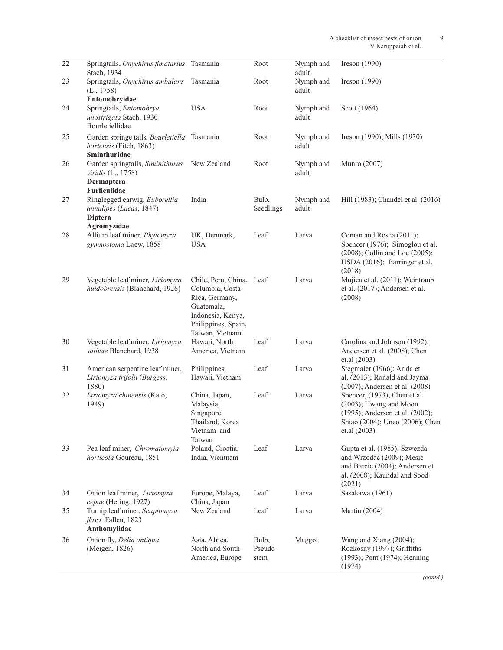| $\overline{22}$ | Springtails, Onychirus fimatarius<br>Stach, 1934                                       | Tasmania                                                                                                                                   | Root                     | Nymph and<br>adult | Ireson $(1990)$                                                                                                                              |
|-----------------|----------------------------------------------------------------------------------------|--------------------------------------------------------------------------------------------------------------------------------------------|--------------------------|--------------------|----------------------------------------------------------------------------------------------------------------------------------------------|
| 23              | Springtails, Onychirus ambulans<br>(L., 1758)<br>Entomobryidae                         | Tasmania                                                                                                                                   | Root                     | Nymph and<br>adult | Ireson $(1990)$                                                                                                                              |
| 24              | Springtails, Entomobrya<br>unostrigata Stach, 1930<br>Bourletiellidae                  | <b>USA</b>                                                                                                                                 | Root                     | Nymph and<br>adult | Scott (1964)                                                                                                                                 |
| 25              | Garden springe tails, Bourletiella Tasmania<br>hortensis (Fitch, 1863)<br>Sminthuridae |                                                                                                                                            | Root                     | Nymph and<br>adult | Ireson (1990); Mills (1930)                                                                                                                  |
| 26              | Garden springtails, Siminithurus<br>viridis (L., 1758)                                 | New Zealand                                                                                                                                | Root                     | Nymph and<br>adult | Munro (2007)                                                                                                                                 |
|                 | Dermaptera<br>Furficulidae                                                             |                                                                                                                                            |                          |                    |                                                                                                                                              |
| 27              | Ringlegged earwig, Euborellia<br>annulipes (Lucas, 1847)<br><b>Diptera</b>             | India                                                                                                                                      | Bulb,<br>Seedlings       | Nymph and<br>adult | Hill (1983); Chandel et al. (2016)                                                                                                           |
| 28              | Agromyzidae<br>Allium leaf miner, Phytomyza<br>gymnostoma Loew, 1858                   | UK, Denmark,<br><b>USA</b>                                                                                                                 | Leaf                     | Larva              | Coman and Rosca (2011);<br>Spencer (1976); Simoglou et al.<br>(2008); Collin and Loe (2005);<br>USDA (2016); Barringer et al.<br>(2018)      |
| 29              | Vegetable leaf miner, Liriomyza<br>huidobrensis (Blanchard, 1926)                      | Chile, Peru, China, Leaf<br>Columbia, Costa<br>Rica, Germany,<br>Guatemala,<br>Indonesia, Kenya,<br>Philippines, Spain,<br>Taiwan, Vietnam |                          | Larva              | Mujica et al. (2011); Weintraub<br>et al. (2017); Andersen et al.<br>(2008)                                                                  |
| 30              | Vegetable leaf miner, Liriomyza<br>sativae Blanchard, 1938                             | Hawaii, North<br>America, Vietnam                                                                                                          | Leaf                     | Larva              | Carolina and Johnson (1992);<br>Andersen et al. (2008); Chen<br>et.al (2003)                                                                 |
| 31              | American serpentine leaf miner,<br>Liriomyza trifolii (Burgess,<br>1880)               | Philippines,<br>Hawaii, Vietnam                                                                                                            | Leaf                     | Larva              | Stegmaier (1966); Arida et<br>al. (2013); Ronald and Jayma<br>(2007); Andersen et al. (2008)                                                 |
| 32              | Liriomyza chinensis (Kato,<br>1949)                                                    | China, Japan,<br>Malaysia,<br>Singapore,<br>Thailand, Korea<br>Vietnam and<br>Taiwan                                                       | Leaf                     | Larva              | Spencer, (1973); Chen et al.<br>(2003); Hwang and Moon<br>(1995); Andersen et al. (2002);<br>Shiao (2004); Uneo (2006); Chen<br>et.al (2003) |
| 33              | Pea leaf miner, Chromatomyia<br>horticola Goureau, 1851                                | Poland, Croatia,<br>India, Vientnam                                                                                                        | Leaf                     | Larva              | Gupta et al. (1985); Szwezda<br>and Wrzodac (2009); Mesic<br>and Barcic (2004); Andersen et<br>al. (2008); Kaundal and Sood<br>(2021)        |
| 34              | Onion leaf miner, Liriomyza<br>cepae (Hering, 1927)                                    | Europe, Malaya,<br>China, Japan                                                                                                            | Leaf                     | Larva              | Sasakawa (1961)                                                                                                                              |
| 35              | Turnip leaf miner, Scaptomyza<br>flava Fallen, 1823<br>Anthomyiidae                    | New Zealand                                                                                                                                | Leaf                     | Larva              | Martin (2004)                                                                                                                                |
| 36              | Onion fly, Delia antiqua<br>(Meigen, 1826)                                             | Asia, Africa,<br>North and South<br>America, Europe                                                                                        | Bulb,<br>Pseudo-<br>stem | Maggot             | Wang and Xiang $(2004)$ ;<br>Rozkosny (1997); Griffiths<br>(1993); Pont (1974); Henning<br>(1974)                                            |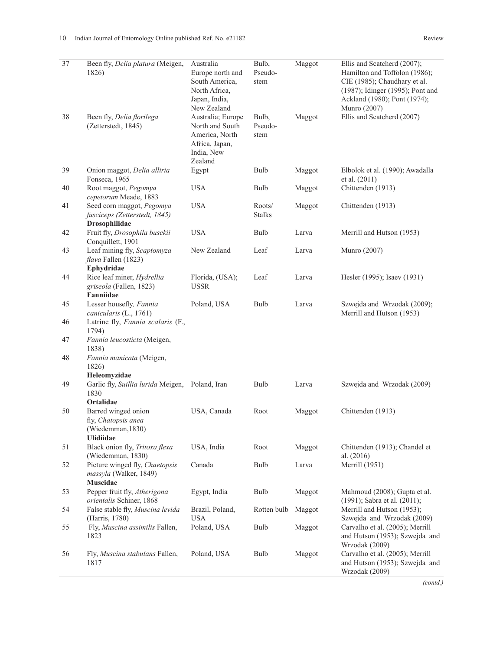| $\overline{37}$ | Been fly, Delia platura (Meigen,<br>1826)                                           | Australia<br>Europe north and<br>South America,<br>North Africa,<br>Japan, India,<br>New Zealand  | Bulb,<br>Pseudo-<br>stem | Maggot | Ellis and Scatcherd (2007);<br>Hamilton and Toffolon (1986);<br>CIE (1985); Chaudhary et al.<br>(1987); Idinger (1995); Pont and<br>Ackland (1980); Pont (1974);<br>Munro (2007) |
|-----------------|-------------------------------------------------------------------------------------|---------------------------------------------------------------------------------------------------|--------------------------|--------|----------------------------------------------------------------------------------------------------------------------------------------------------------------------------------|
| 38              | Been fly, Delia florilega<br>(Zetterstedt, 1845)                                    | Australia; Europe<br>North and South<br>America, North<br>Africa, Japan,<br>India, New<br>Zealand | Bulb,<br>Pseudo-<br>stem | Maggot | Ellis and Scatcherd (2007)                                                                                                                                                       |
| 39              | Onion maggot, Delia alliria<br>Fonseca, 1965                                        | Egypt                                                                                             | Bulb                     | Maggot | Elbolok et al. (1990); Awadalla<br>et al. (2011)                                                                                                                                 |
| 40              | Root maggot, Pegomya<br>cepetorum Meade, 1883                                       | <b>USA</b>                                                                                        | Bulb                     | Maggot | Chittenden (1913)                                                                                                                                                                |
| 41              | Seed corn maggot, Pegomya<br>fusciceps (Zetterstedt, 1845)<br><b>Drosophilidae</b>  | <b>USA</b>                                                                                        | Roots/<br><b>Stalks</b>  | Maggot | Chittenden (1913)                                                                                                                                                                |
| 42              | Fruit fly, Drosophila busckii<br>Conquillett, 1901                                  | <b>USA</b>                                                                                        | Bulb                     | Larva  | Merrill and Hutson (1953)                                                                                                                                                        |
| 43              | Leaf mining fly, Scaptomyza<br>flava Fallen (1823)<br>Ephydridae                    | New Zealand                                                                                       | Leaf                     | Larva  | Munro (2007)                                                                                                                                                                     |
| 44              | Rice leaf miner, Hydrellia<br>griseola (Fallen, 1823)<br>Fanniidae                  | Florida, (USA);<br><b>USSR</b>                                                                    | Leaf                     | Larva  | Hesler (1995); Isaev (1931)                                                                                                                                                      |
| 45              | Lesser housefly, Fannia<br>canicularis (L., 1761)                                   | Poland, USA                                                                                       | Bulb                     | Larva  | Szwejda and Wrzodak (2009);<br>Merrill and Hutson (1953)                                                                                                                         |
| 46              | Latrine fly, Fannia scalaris (F.,<br>1794)                                          |                                                                                                   |                          |        |                                                                                                                                                                                  |
| 47              | Fannia leucosticta (Meigen,<br>1838)                                                |                                                                                                   |                          |        |                                                                                                                                                                                  |
| 48              | Fannia manicata (Meigen,<br>1826)<br>Heleomyzidae                                   |                                                                                                   |                          |        |                                                                                                                                                                                  |
| 49              | Garlic fly, Suillia lurida Meigen, Poland, Iran<br>1830<br>Ortalidae                |                                                                                                   | Bulb                     | Larva  | Szwejda and Wrzodak (2009)                                                                                                                                                       |
| 50              | Barred winged onion<br>fly, Chatopsis anea<br>(Wiedemman, 1830)<br><b>Ulidiidae</b> | USA, Canada                                                                                       | Root                     | Maggot | Chittenden (1913)                                                                                                                                                                |
| 51              | Black onion fly, Tritoxa flexa<br>(Wiedemman, 1830)                                 | USA, India                                                                                        | Root                     | Maggot | Chittenden (1913); Chandel et<br>al. $(2016)$                                                                                                                                    |
| 52              | Picture winged fly, Chaetopsis<br>massyla (Walker, 1849)<br>Muscidae                | Canada                                                                                            | Bulb                     | Larva  | Merrill (1951)                                                                                                                                                                   |
| 53              | Pepper fruit fly, Atherigona<br>orientalis Schiner, 1868                            | Egypt, India                                                                                      | Bulb                     | Maggot | Mahmoud (2008); Gupta et al.<br>(1991); Sabra et al. (2011);                                                                                                                     |
| 54              | False stable fly, Muscina levida<br>(Harris, 1780)                                  | Brazil, Poland,<br><b>USA</b>                                                                     | Rotten bulb              | Maggot | Merrill and Hutson (1953);<br>Szwejda and Wrzodak (2009)                                                                                                                         |
| 55              | Fly, Muscina assimilis Fallen,<br>1823                                              | Poland, USA                                                                                       | Bulb                     | Maggot | Carvalho et al. (2005); Merrill<br>and Hutson (1953); Szwejda and<br>Wrzodak (2009)                                                                                              |
| 56              | Fly, Muscina stabulans Fallen,<br>1817                                              | Poland, USA                                                                                       | Bulb                     | Maggot | Carvalho et al. (2005); Merrill<br>and Hutson (1953); Szwejda and<br>Wrzodak (2009)                                                                                              |

*(contd.)*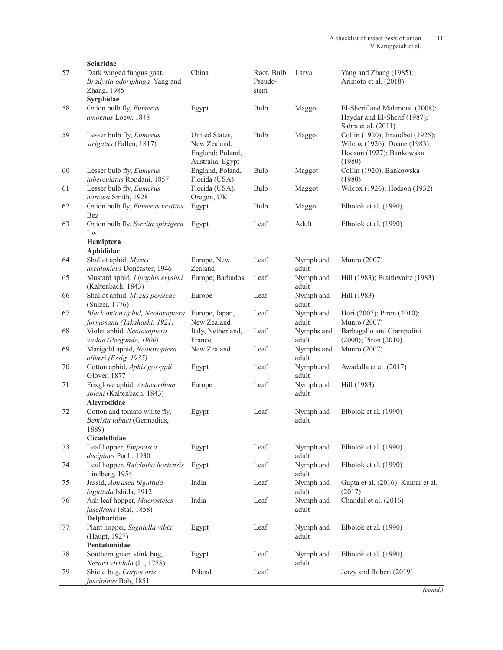|    | Sciaridae                                                                           |                                                                        |                                |                     |                                                                                                       |
|----|-------------------------------------------------------------------------------------|------------------------------------------------------------------------|--------------------------------|---------------------|-------------------------------------------------------------------------------------------------------|
| 57 | Dark winged fungus gnat,<br>Bradysia odoriphaga Yang and<br>Zhang, 1985             | China                                                                  | Root, Bulb,<br>Pseudo-<br>stem | Larva               | Yang and Zhang (1985);<br>Arimoto et al. (2018)                                                       |
|    | Syrphidae                                                                           |                                                                        |                                |                     |                                                                                                       |
| 58 | Onion bulb fly, Eumerus<br>amoenus Loew, 1848                                       | Egypt                                                                  | Bulb                           | Maggot              | El-Sherif and Mahmoud (2008);<br>Haydar and El-Sherif (1987);<br>Sabra et al. (2011)                  |
| 59 | Lesser bulb fly, Eumerus<br>strigatus (Fallen, 1817)                                | United States,<br>New Zealand,<br>England; Poland,<br>Australia, Egypt | Bulb                           | Maggot              | Collin (1920); Braodbet (1925);<br>Wilcox (1926); Doane (1983);<br>Hodson (1927); Bankowska<br>(1980) |
| 60 | Lesser bulb fly, Eumerus<br>tuberculatus Rondani, 1857                              | England, Poland,<br>Florida (USA)                                      | Bulb                           | Maggot              | Collin (1920); Bankowska<br>(1980)                                                                    |
| 61 | Lesser bulb fly, Eumerus<br>narcissi Smith, 1928                                    | Florida (USA),<br>Oregon, UK                                           | Bulb                           | Maggot              | Wilcox (1926); Hodson (1932)                                                                          |
| 62 | Onion bulb fly, Eumerus vestitus<br>Bez                                             | Egypt                                                                  | Bulb                           | Maggot              | Elbolok et al. (1990)                                                                                 |
| 63 | Onion bulb fly, Syrrita spinigera<br>Lw                                             | Egypt                                                                  | Leaf                           | Adult               | Elbolok et al. (1990)                                                                                 |
|    | Hemiptera<br>Aphididae                                                              |                                                                        |                                |                     |                                                                                                       |
| 64 | Shallot aphid, Myzus<br>ascalonicus Doncaster, 1946                                 | Europe, New<br>Zealand                                                 | Leaf                           | Nymph and<br>adult  | Munro (2007)                                                                                          |
| 65 | Mustard aphid, Lipaphis erysimi<br>(Kaltenbach, 1843)                               | Europe; Barbados                                                       | Leaf                           | Nymph and<br>adult  | Hill (1983); Braithwaite (1983)                                                                       |
| 66 | Shallot aphid, Myzus persicae<br>(Sulzer, 1776)                                     | Europe                                                                 | Leaf                           | Nymph and<br>adult  | Hill (1983)                                                                                           |
| 67 | Black onion aphid, Neotoxoptera<br>formosana (Takahashi, 1921)                      | Europe, Japan,<br>New Zealand                                          | Leaf                           | Nymph and<br>adult  | Hori (2007); Piron (2010);<br>Munro (2007)                                                            |
| 68 | Violet aphid, Neotoxoptera<br>violae (Pergande, 1900)                               | Italy, Netherland,<br>France                                           | Leaf                           | Nymphs and<br>adult | Barbagallo and Ciampolini<br>$(2000)$ ; Piron $(2010)$                                                |
| 69 | Marigold aphid, Neotoxoptera<br>oliveri (Essig, 1935)                               | New Zealand                                                            | Leaf                           | Nymphs and<br>adult | Munro (2007)                                                                                          |
| 70 | Cotton aphid, Aphis gossypii<br>Glover, 1877                                        | Egypt                                                                  | Leaf                           | Nymph and<br>adult  | Awadalla et al. (2017)                                                                                |
| 71 | Foxglove aphid, Aulacorthum<br>solani (Kaltenbach, 1843)<br>Aleyrodidae             | Europe                                                                 | Leaf                           | Nymph and<br>adult  | Hill (1983)                                                                                           |
| 72 | Cotton and tomato white fly,<br>Bemisia tabaci (Gennadius,<br>1889)<br>Cicadellidae | Egypt                                                                  | Leaf                           | Nymph and<br>adult  | Elbolok et al. (1990)                                                                                 |
| 73 | Leaf hopper, Empoasca                                                               | Egypt                                                                  | Leaf                           | Nymph and           | Elbolok et al. (1990)                                                                                 |
| 74 | decipines Paoli, 1930<br>Leaf hopper, Balclutha hortensis                           | Egypt                                                                  | Leaf                           | adult<br>Nymph and  | Elbolok et al. (1990)                                                                                 |
|    | Lindberg, 1954                                                                      |                                                                        |                                | adult               |                                                                                                       |
| 75 | Jassid, Amrasca biguttula<br>biguttula Ishida, 1912                                 | India                                                                  | Leaf                           | Nymph and<br>adult  | Gupta et al. (2016); Kumar et al.<br>(2017)                                                           |
| 76 | Ash leaf hopper, Macrosteles<br>fascifrons (Stal, 1858)<br>Delphacidae              | India                                                                  | Leaf                           | Nymph and<br>adult  | Chandel et al. (2016)                                                                                 |
| 77 | Plant hopper, Sogatella vibix<br>(Haupt, 1927)                                      | Egypt                                                                  | Leaf                           | Nymph and<br>adult  | Elbolok et al. (1990)                                                                                 |
| 78 | Pentatomidae<br>Southern green stink bug,                                           | Egypt                                                                  | Leaf                           | Nymph and           | Elbolok et al. (1990)                                                                                 |
|    | Nezara viridula (L., 1758)                                                          |                                                                        |                                | adult               |                                                                                                       |
| 79 | Shield bug, Carpocoris<br>fuscipinus Boh, 1851                                      | Poland                                                                 | Leaf                           |                     | Jerzy and Robert (2019)                                                                               |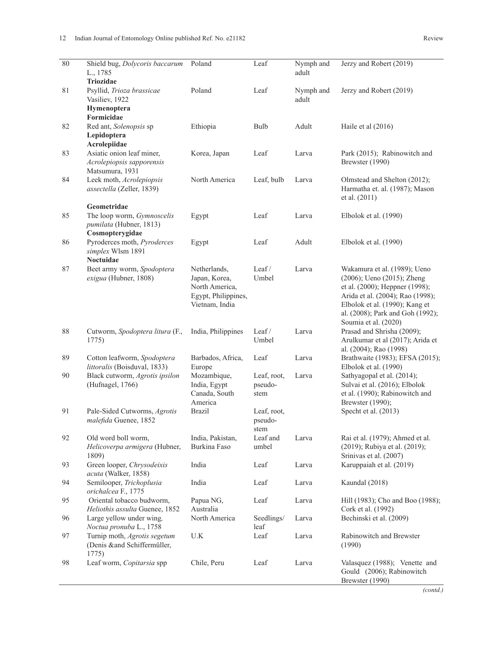| 80 | Shield bug, Dolycoris baccarum<br>L., 1785                                | Poland                                                                                   | Leaf                           | Nymph and<br>adult | Jerzy and Robert (2019)                                                                                                                                                                                                        |
|----|---------------------------------------------------------------------------|------------------------------------------------------------------------------------------|--------------------------------|--------------------|--------------------------------------------------------------------------------------------------------------------------------------------------------------------------------------------------------------------------------|
| 81 | Triozidae<br>Psyllid, Trioza brassicae<br>Vasiliev, 1922                  | Poland                                                                                   | Leaf                           | Nymph and<br>adult | Jerzy and Robert (2019)                                                                                                                                                                                                        |
|    | Hymenoptera<br>Formicidae                                                 |                                                                                          |                                |                    |                                                                                                                                                                                                                                |
| 82 | Red ant, Solenopsis sp<br>Lepidoptera<br>Acrolepiidae                     | Ethiopia                                                                                 | Bulb                           | Adult              | Haile et al (2016)                                                                                                                                                                                                             |
| 83 | Asiatic onion leaf miner,<br>Acrolepiopsis sapporensis<br>Matsumura, 1931 | Korea, Japan                                                                             | Leaf                           | Larva              | Park (2015); Rabinowitch and<br>Brewster (1990)                                                                                                                                                                                |
| 84 | Leek moth, Acrolepiopsis<br>assectella (Zeller, 1839)                     | North America                                                                            | Leaf, bulb                     | Larva              | Olmstead and Shelton (2012);<br>Harmatha et. al. (1987); Mason<br>et al. (2011)                                                                                                                                                |
|    | Geometridae                                                               |                                                                                          |                                |                    |                                                                                                                                                                                                                                |
| 85 | The loop worm, Gymnoscelis<br>pumilata (Hubner, 1813)<br>Cosmopterygidae  | Egypt                                                                                    | Leaf                           | Larva              | Elbolok et al. (1990)                                                                                                                                                                                                          |
| 86 | Pyroderces moth, Pyroderces<br>simplex Wlsm 1891                          | Egypt                                                                                    | Leaf                           | Adult              | Elbolok et al. (1990)                                                                                                                                                                                                          |
|    | Noctuidae                                                                 |                                                                                          |                                |                    |                                                                                                                                                                                                                                |
| 87 | Beet army worm, Spodoptera<br>exigua (Hubner, 1808)                       | Netherlands,<br>Japan, Korea,<br>North America,<br>Egypt, Philippines,<br>Vietnam, India | Leaf/<br>Umbel                 | Larva              | Wakamura et al. (1989); Ueno<br>(2006); Ueno (2015); Zheng<br>et al. (2000); Heppner (1998);<br>Arida et al. (2004); Rao (1998);<br>Elbolok et al. (1990); Kang et<br>al. (2008); Park and Goh (1992);<br>Soumia et al. (2020) |
| 88 | Cutworm, Spodoptera litura (F.,<br>1775)                                  | India, Philippines                                                                       | Leaf/<br>Umbel                 | Larva              | Prasad and Shrisha (2009);<br>Arulkumar et al (2017); Arida et<br>al. (2004); Rao (1998)                                                                                                                                       |
| 89 | Cotton leafworm, Spodoptera<br>littoralis (Boisduval, 1833)               | Barbados, Africa,<br>Europe                                                              | Leaf                           | Larva              | Brathwaite (1983); EFSA (2015);<br>Elbolok et al. (1990)                                                                                                                                                                       |
| 90 | Black cutworm, Agrotis ipsilon<br>(Hufnagel, 1766)                        | Mozambique,<br>India, Egypt<br>Canada, South<br>America                                  | Leaf, root,<br>pseudo-<br>stem | Larva              | Sathyagopal et al. (2014);<br>Sulvai et al. (2016); Elbolok<br>et al. (1990); Rabinowitch and<br>Brewster (1990);                                                                                                              |
| 91 | Pale-Sided Cutworms, Agrotis<br>malefida Guenee, 1852                     | <b>Brazil</b>                                                                            | Leaf, root,<br>pseudo-<br>stem |                    | Specht et al. (2013)                                                                                                                                                                                                           |
| 92 | Old word boll worm,<br>Helicoverpa armigera (Hubner,<br>1809)             | India, Pakistan,<br>Burkina Faso                                                         | Leaf and<br>umbel              | Larva              | Rai et al. (1979); Ahmed et al.<br>(2019); Rubiya et al. (2019);<br>Srinivas et al. (2007)                                                                                                                                     |
| 93 | Green looper, Chrysodeixis<br>acuta (Walker, 1858)                        | India                                                                                    | Leaf                           | Larva              | Karuppaiah et al. (2019)                                                                                                                                                                                                       |
| 94 | Semilooper, Trichoplusia<br>orichalcea F., 1775                           | India                                                                                    | Leaf                           | Larva              | Kaundal (2018)                                                                                                                                                                                                                 |
| 95 | Oriental tobacco budworm,<br>Heliothis assulta Guenee, 1852               | Papua NG,<br>Australia                                                                   | Leaf                           | Larva              | Hill (1983); Cho and Boo (1988);<br>Cork et al. (1992)                                                                                                                                                                         |
| 96 | Large yellow under wing,<br>Noctua pronuba L., 1758                       | North America                                                                            | Seedlings/<br>leaf             | Larva              | Bechinski et al. (2009)                                                                                                                                                                                                        |
| 97 | Turnip moth, Agrotis segetum<br>(Denis ∧ Schiffermüller,<br>1775)         | $U.K$                                                                                    | Leaf                           | Larva              | Rabinowitch and Brewster<br>(1990)                                                                                                                                                                                             |
| 98 | Leaf worm, Copitarsia spp                                                 | Chile, Peru                                                                              | Leaf                           | Larva              | Valasquez (1988); Venette and<br>Gould (2006); Rabinowitch<br>Brewster (1990)                                                                                                                                                  |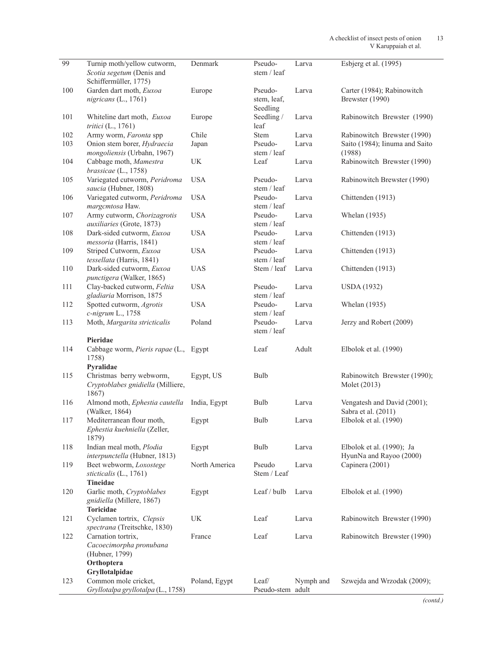| 99  | Turnip moth/yellow cutworm,<br>Scotia segetum (Denis and<br>Schiffermüller, 1775) | Denmark       | Pseudo-<br>stem / leaf             | Larva     | Esbjerg et al. $(1995)$                              |
|-----|-----------------------------------------------------------------------------------|---------------|------------------------------------|-----------|------------------------------------------------------|
|     |                                                                                   |               |                                    |           |                                                      |
| 100 | Garden dart moth, Euxoa<br>nigricans (L., 1761)                                   | Europe        | Pseudo-<br>stem, leaf,<br>Seedling | Larva     | Carter (1984); Rabinowitch<br>Brewster (1990)        |
| 101 | Whiteline dart moth, Euxoa<br>tritici $(L., 1761)$                                | Europe        | Seedling /<br>leaf                 | Larva     | Rabinowitch Brewster (1990)                          |
| 102 | Army worm, Faronta spp                                                            | Chile         | <b>Stem</b>                        | Larva     | Rabinowitch Brewster (1990)                          |
| 103 | Onion stem borer, Hydraecia<br>mongoliensis (Urbahn, 1967)                        | Japan         | Pseudo-<br>stem / leaf             | Larva     | Saito (1984); Iinuma and Saito<br>(1988)             |
| 104 | Cabbage moth, Mamestra<br>brassicae (L., 1758)                                    | UK            | Leaf                               | Larva     | Rabinowitch Brewster (1990)                          |
| 105 | Variegated cutworm, Peridroma<br>saucia (Hubner, 1808)                            | <b>USA</b>    | Pseudo-<br>stem / leaf             | Larva     | Rabinowitch Brewster (1990)                          |
| 106 | Variegated cutworm, Peridroma<br>margcmtosa Haw.                                  | <b>USA</b>    | Pseudo-<br>stem / leaf             | Larva     | Chittenden (1913)                                    |
| 107 | Army cutworm, Chorizagrotis<br>auxiliaries (Grote, 1873)                          | <b>USA</b>    | Pseudo-<br>stem / leaf             | Larva     | Whelan (1935)                                        |
| 108 | Dark-sided cutworm, Euxoa<br>messoria (Harris, 1841)                              | <b>USA</b>    | Pseudo-<br>stem / leaf             | Larva     | Chittenden (1913)                                    |
| 109 | Striped Cutworm, Euxoa<br>tessellata (Harris, 1841)                               | <b>USA</b>    | Pseudo-<br>stem / leaf             | Larva     | Chittenden (1913)                                    |
| 110 | Dark-sided cutworm, Euxoa<br>punctigera (Walker, 1865)                            | <b>UAS</b>    | Stem / leaf                        | Larva     | Chittenden (1913)                                    |
| 111 | Clay-backed cutworm, Feltia<br>gladiaria Morrison, 1875                           | <b>USA</b>    | Pseudo-<br>stem / leaf             | Larva     | <b>USDA</b> (1932)                                   |
| 112 | Spotted cutworm, Agrotis<br>c-nigrum L., 1758                                     | <b>USA</b>    | Pseudo-<br>stem / leaf             | Larva     | Whelan (1935)                                        |
| 113 | Moth, Margarita stricticalis                                                      | Poland        | Pseudo-<br>stem / leaf             | Larva     | Jerzy and Robert (2009)                              |
|     | Pieridae                                                                          |               |                                    |           |                                                      |
| 114 | Cabbage worm, Pieris rapae (L.,<br>1758)                                          | Egypt         | Leaf                               | Adult     | Elbolok et al. (1990)                                |
|     | Pyralidae                                                                         |               |                                    |           |                                                      |
| 115 | Christmas berry webworm,<br>Cryptoblabes gnidiella (Milliere,<br>1867)            | Egypt, US     | Bulb                               |           | Rabinowitch Brewster (1990);<br>Molet (2013)         |
| 116 | Almond moth, Ephestia cautella<br>(Walker, 1864)                                  | India, Egypt  | Bulb                               | Larva     | Vengatesh and David (2001);<br>Sabra et al. (2011)   |
| 117 | Mediterranean flour moth,<br>Ephestia kuehniella (Zeller,<br>1879)                | Egypt         | Bulb                               | Larva     | Elbolok et al. (1990)                                |
| 118 | Indian meal moth, Plodia<br>interpunctella (Hubner, 1813)                         | Egypt         | Bulb                               | Larva     | Elbolok et al. (1990); Ja<br>HyunNa and Rayoo (2000) |
| 119 | Beet webworm, Loxostege<br>sticticalis (L., 1761)<br>Tineidae                     | North America | Pseudo<br>Stem / Leaf              | Larva     | Capinera (2001)                                      |
| 120 | Garlic moth, Cryptoblabes<br>gnidiella (Millere, 1867)                            | Egypt         | Leaf / bulb                        | Larva     | Elbolok et al. (1990)                                |
| 121 | <b>Toricidae</b><br>Cyclamen tortrix, Clepsis                                     | UK            | Leaf                               | Larva     | Rabinowitch Brewster (1990)                          |
|     | spectrana (Treitschke, 1830)                                                      |               |                                    |           |                                                      |
| 122 | Carnation tortrix,<br>Cacoecimorpha pronubana<br>(Hubner, 1799)                   | France        | Leaf                               | Larva     | Rabinowitch Brewster (1990)                          |
|     | Orthoptera                                                                        |               |                                    |           |                                                      |
|     | Gryllotalpidae                                                                    |               |                                    |           |                                                      |
| 123 | Common mole cricket,<br>Gryllotalpa gryllotalpa (L., 1758)                        | Poland, Egypt | Leaf/<br>Pseudo-stem adult         | Nymph and | Szwejda and Wrzodak (2009);                          |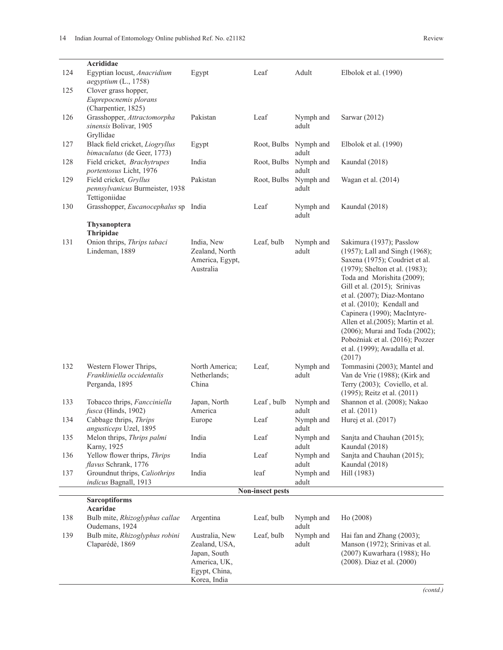| 124 | Acrididae<br>Egyptian locust, Anacridium<br>aegyptium (L., 1758)           | Egypt                                                                                            | Leaf                    | Adult              | Elbolok et al. (1990)                                                                                                                                                                                                                                                                                                                                                                                                                          |
|-----|----------------------------------------------------------------------------|--------------------------------------------------------------------------------------------------|-------------------------|--------------------|------------------------------------------------------------------------------------------------------------------------------------------------------------------------------------------------------------------------------------------------------------------------------------------------------------------------------------------------------------------------------------------------------------------------------------------------|
| 125 | Clover grass hopper,<br>Euprepocnemis plorans<br>(Charpentier, 1825)       |                                                                                                  |                         |                    |                                                                                                                                                                                                                                                                                                                                                                                                                                                |
| 126 | Grasshopper, Attractomorpha<br>sinensis Bolivar, 1905<br>Gryllidae         | Pakistan                                                                                         | Leaf                    | Nymph and<br>adult | Sarwar (2012)                                                                                                                                                                                                                                                                                                                                                                                                                                  |
| 127 | Black field cricket, Liogryllus<br>bimaculatus (de Geer, 1773)             | Egypt                                                                                            | Root, Bulbs             | Nymph and<br>adult | Elbolok et al. (1990)                                                                                                                                                                                                                                                                                                                                                                                                                          |
| 128 | Field cricket, Brachytrupes<br>portentosus Licht, 1976                     | India                                                                                            | Root, Bulbs             | Nymph and<br>adult | Kaundal (2018)                                                                                                                                                                                                                                                                                                                                                                                                                                 |
| 129 | Field cricket, Gryllus<br>pennsylvanicus Burmeister, 1938<br>Tettigoniidae | Pakistan                                                                                         | Root, Bulbs             | Nymph and<br>adult | Wagan et al. (2014)                                                                                                                                                                                                                                                                                                                                                                                                                            |
| 130 | Grasshopper, Eucanocephalus sp India                                       |                                                                                                  | Leaf                    | Nymph and<br>adult | Kaundal (2018)                                                                                                                                                                                                                                                                                                                                                                                                                                 |
|     | Thysanoptera                                                               |                                                                                                  |                         |                    |                                                                                                                                                                                                                                                                                                                                                                                                                                                |
|     | Thripidae                                                                  |                                                                                                  |                         |                    |                                                                                                                                                                                                                                                                                                                                                                                                                                                |
| 131 | Onion thrips, Thrips tabaci<br>Lindeman, 1889                              | India, New<br>Zealand, North<br>America, Egypt,<br>Australia                                     | Leaf, bulb              | Nymph and<br>adult | Sakimura (1937); Passlow<br>(1957); Lall and Singh (1968);<br>Saxena (1975); Coudriet et al.<br>(1979); Shelton et al. (1983);<br>Toda and Morishita (2009);<br>Gill et al. (2015); Srinivas<br>et al. (2007); Diaz-Montano<br>et al. (2010); Kendall and<br>Capinera (1990); MacIntyre-<br>Allen et al.(2005); Martin et al.<br>(2006); Murai and Toda (2002);<br>Pobożniak et al. (2016); Pozzer<br>et al. (1999); Awadalla et al.<br>(2017) |
| 132 | Western Flower Thrips,<br>Frankliniella occidentalis<br>Perganda, 1895     | North America;<br>Netherlands;<br>China                                                          | Leaf,                   | Nymph and<br>adult | Tommasini (2003); Mantel and<br>Van de Vrie (1988); (Kirk and<br>Terry (2003); Coviello, et al.<br>(1995); Reitz et al. (2011)                                                                                                                                                                                                                                                                                                                 |
| 133 | Tobacco thrips, Fancciniella<br>fusca (Hinds, 1902)                        | Japan, North<br>America                                                                          | Leaf, bulb              | Nymph and<br>adult | Shannon et al. (2008); Nakao<br>et al. (2011)                                                                                                                                                                                                                                                                                                                                                                                                  |
| 134 | Cabbage thrips, Thrips<br>angusticeps Uzel, 1895                           | Europe                                                                                           | Leaf                    | Nymph and<br>adult | Hurej et al. (2017)                                                                                                                                                                                                                                                                                                                                                                                                                            |
| 135 | Melon thrips, Thrips palmi<br>Karny, 1925                                  | India                                                                                            | Leaf                    | Nymph and<br>adult | Sanjta and Chauhan (2015);<br>Kaundal (2018)                                                                                                                                                                                                                                                                                                                                                                                                   |
| 136 | Yellow flower thrips, Thrips<br>flavus Schrank, 1776                       | India                                                                                            | Leaf                    | Nymph and<br>adult | Sanjta and Chauhan (2015);<br>Kaundal (2018)                                                                                                                                                                                                                                                                                                                                                                                                   |
| 137 | Groundnut thrips, Caliothrips<br>indicus Bagnall, 1913                     | India                                                                                            | leaf                    | Nymph and<br>adult | Hill (1983)                                                                                                                                                                                                                                                                                                                                                                                                                                    |
|     |                                                                            |                                                                                                  | <b>Non-insect pests</b> |                    |                                                                                                                                                                                                                                                                                                                                                                                                                                                |
|     | <b>Sarcoptiforms</b>                                                       |                                                                                                  |                         |                    |                                                                                                                                                                                                                                                                                                                                                                                                                                                |
| 138 | Acaridae<br>Bulb mite, Rhizoglyphus callae<br>Oudemans, 1924               | Argentina                                                                                        | Leaf, bulb              | Nymph and<br>adult | Ho (2008)                                                                                                                                                                                                                                                                                                                                                                                                                                      |
| 139 | Bulb mite, Rhizoglyphus robini<br>Claparédè, 1869                          | Australia, New<br>Zealand, USA,<br>Japan, South<br>America, UK,<br>Egypt, China,<br>Korea, India | Leaf, bulb              | Nymph and<br>adult | Hai fan and Zhang (2003);<br>Manson (1972); Srinivas et al.<br>(2007) Kuwarhara (1988); Ho<br>(2008). Diaz et al. (2000)                                                                                                                                                                                                                                                                                                                       |